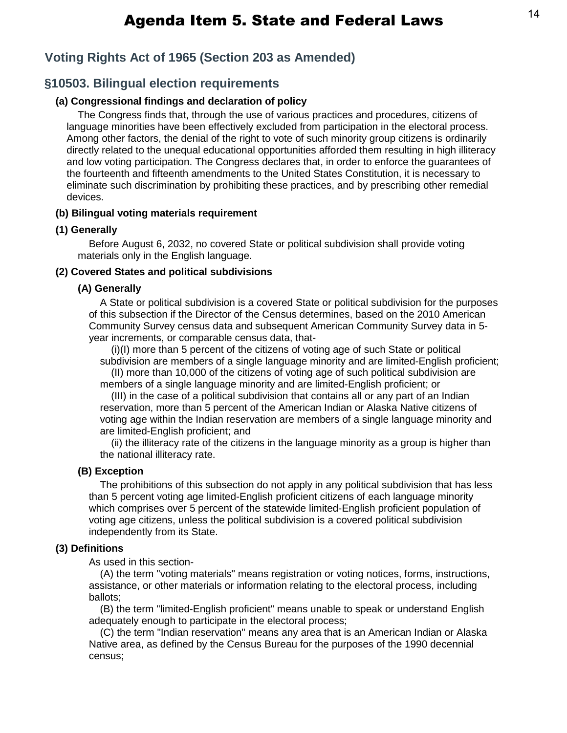## **Voting Rights Act of 1965 (Section 203 as Amended)**

## **§10503. Bilingual election requirements**

## **(a) Congressional findings and declaration of policy**

The Congress finds that, through the use of various practices and procedures, citizens of language minorities have been effectively excluded from participation in the electoral process. Among other factors, the denial of the right to vote of such minority group citizens is ordinarily directly related to the unequal educational opportunities afforded them resulting in high illiteracy and low voting participation. The Congress declares that, in order to enforce the guarantees of the fourteenth and fifteenth amendments to the United States Constitution, it is necessary to eliminate such discrimination by prohibiting these practices, and by prescribing other remedial devices.

## **(b) Bilingual voting materials requirement**

## **(1) Generally**

Before August 6, 2032, no covered State or political subdivision shall provide voting materials only in the English language.

## **(2) Covered States and political subdivisions**

### **(A) Generally**

A State or political subdivision is a covered State or political subdivision for the purposes of this subsection if the Director of the Census determines, based on the 2010 American Community Survey census data and subsequent American Community Survey data in 5 year increments, or comparable census data, that-

(i)(I) more than 5 percent of the citizens of voting age of such State or political subdivision are members of a single language minority and are limited-English proficient;

(II) more than 10,000 of the citizens of voting age of such political subdivision are members of a single language minority and are limited-English proficient; or

(III) in the case of a political subdivision that contains all or any part of an Indian reservation, more than 5 percent of the American Indian or Alaska Native citizens of voting age within the Indian reservation are members of a single language minority and are limited-English proficient; and

(ii) the illiteracy rate of the citizens in the language minority as a group is higher than the national illiteracy rate.

### **(B) Exception**

The prohibitions of this subsection do not apply in any political subdivision that has less than 5 percent voting age limited-English proficient citizens of each language minority which comprises over 5 percent of the statewide limited-English proficient population of voting age citizens, unless the political subdivision is a covered political subdivision independently from its State.

### **(3) Definitions**

As used in this section-

(A) the term "voting materials" means registration or voting notices, forms, instructions, assistance, or other materials or information relating to the electoral process, including ballots;

(B) the term "limited-English proficient" means unable to speak or understand English adequately enough to participate in the electoral process;

(C) the term "Indian reservation" means any area that is an American Indian or Alaska Native area, as defined by the Census Bureau for the purposes of the 1990 decennial census;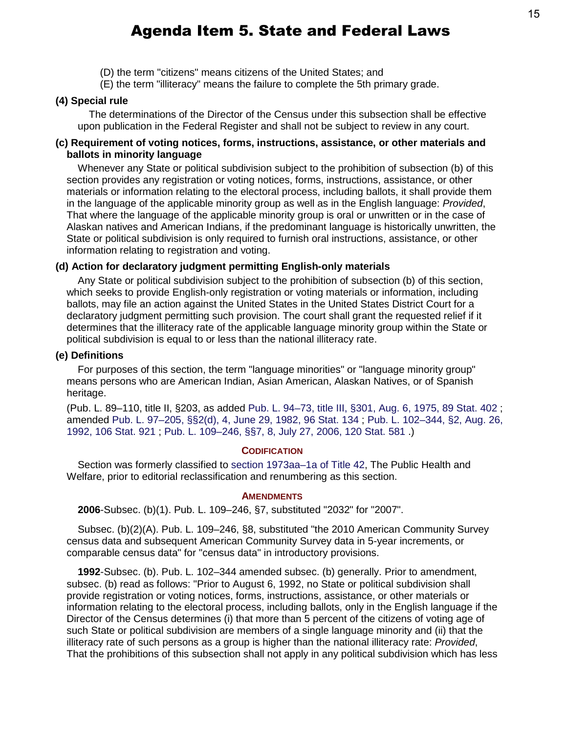(D) the term "citizens" means citizens of the United States; and

(E) the term "illiteracy" means the failure to complete the 5th primary grade.

## **(4) Special rule**

The determinations of the Director of the Census under this subsection shall be effective upon publication in the Federal Register and shall not be subject to review in any court.

## **(c) Requirement of voting notices, forms, instructions, assistance, or other materials and ballots in minority language**

Whenever any State or political subdivision subject to the prohibition of subsection (b) of this section provides any registration or voting notices, forms, instructions, assistance, or other materials or information relating to the electoral process, including ballots, it shall provide them in the language of the applicable minority group as well as in the English language: *Provided*, That where the language of the applicable minority group is oral or unwritten or in the case of Alaskan natives and American Indians, if the predominant language is historically unwritten, the State or political subdivision is only required to furnish oral instructions, assistance, or other information relating to registration and voting.

## **(d) Action for declaratory judgment permitting English-only materials**

Any State or political subdivision subject to the prohibition of subsection (b) of this section, which seeks to provide English-only registration or voting materials or information, including ballots, may file an action against the United States in the United States District Court for a declaratory judgment permitting such provision. The court shall grant the requested relief if it determines that the illiteracy rate of the applicable language minority group within the State or political subdivision is equal to or less than the national illiteracy rate.

## **(e) Definitions**

For purposes of this section, the term "language minorities" or "language minority group" means persons who are American Indian, Asian American, Alaskan Natives, or of Spanish heritage.

(Pub. L. 89–110, title II, §203, as added Pub. L. 94–73, [title III, §301, Aug. 6, 1975,](http://uscode.house.gov/statviewer.htm?volume=89&page=402) 89 Stat. 402 ; amended Pub. L. 97–205, [§§2\(d\), 4, June 29, 1982,](http://uscode.house.gov/statviewer.htm?volume=96&page=134) 96 Stat. 134 ; [Pub. L. 102–344,](http://uscode.house.gov/statviewer.htm?volume=106&page=921) §2, Aug. 26, 1992, [106 Stat. 921](http://uscode.house.gov/statviewer.htm?volume=106&page=921) ; Pub. L. 109–246, [§§7, 8, July 27, 2006,](http://uscode.house.gov/statviewer.htm?volume=120&page=581) 120 Stat. 581 .)

## **CODIFICATION**

Section was formerly classified to section 1973aa–1a of Title 42, The Public Health and Welfare, prior to editorial reclassification and renumbering as this section.

### **AMENDMENTS**

**2006**-Subsec. (b)(1). Pub. L. 109–246, §7, substituted "2032" for "2007".

Subsec. (b)(2)(A). Pub. L. 109–246, §8, substituted "the 2010 American Community Survey census data and subsequent American Community Survey data in 5-year increments, or comparable census data" for "census data" in introductory provisions.

**1992**-Subsec. (b). Pub. L. 102–344 amended subsec. (b) generally. Prior to amendment, subsec. (b) read as follows: "Prior to August 6, 1992, no State or political subdivision shall provide registration or voting notices, forms, instructions, assistance, or other materials or information relating to the electoral process, including ballots, only in the English language if the Director of the Census determines (i) that more than 5 percent of the citizens of voting age of such State or political subdivision are members of a single language minority and (ii) that the illiteracy rate of such persons as a group is higher than the national illiteracy rate: *Provided*, That the prohibitions of this subsection shall not apply in any political subdivision which has less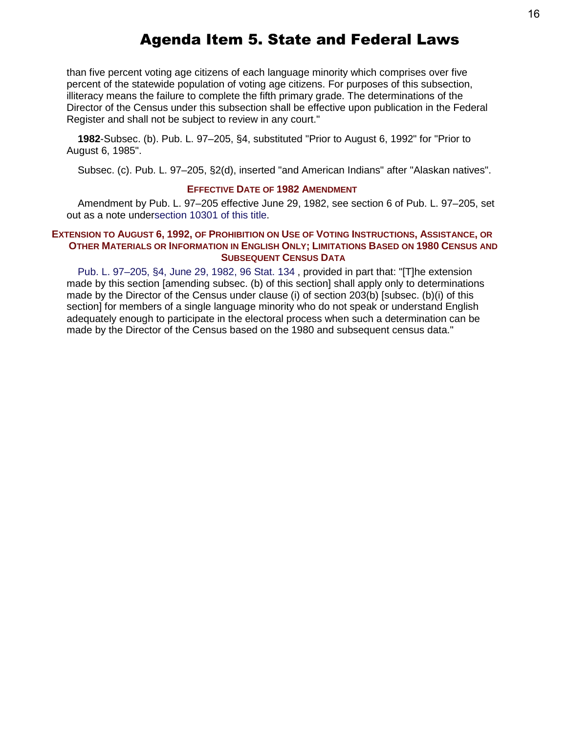than five percent voting age citizens of each language minority which comprises over five percent of the statewide population of voting age citizens. For purposes of this subsection, illiteracy means the failure to complete the fifth primary grade. The determinations of the Director of the Census under this subsection shall be effective upon publication in the Federal Register and shall not be subject to review in any court."

**1982**-Subsec. (b). Pub. L. 97–205, §4, substituted "Prior to August 6, 1992" for "Prior to August 6, 1985".

Subsec. (c). Pub. L. 97–205, §2(d), inserted "and American Indians" after "Alaskan natives".

### **EFFECTIVE DATE OF 1982 AMENDMENT**

Amendment by Pub. L. 97–205 effective June 29, 1982, see section 6 of Pub. L. 97–205, set out as a note undersection 10301 of this title.

## **EXTENSION TO AUGUST 6, 1992, OF PROHIBITION ON USE OF VOTING INSTRUCTIONS, ASSISTANCE, OR OTHER MATERIALS OR INFORMATION IN ENGLISH ONLY; LIMITATIONS BASED ON 1980 CENSUS AND SUBSEQUENT CENSUS DATA**

Pub. L. 97–205, [§4, June 29, 1982,](http://uscode.house.gov/statviewer.htm?volume=96&page=134) 96 Stat. 134 , provided in part that: "[T]he extension made by this section [amending subsec. (b) of this section] shall apply only to determinations made by the Director of the Census under clause (i) of section 203(b) [subsec. (b)(i) of this section] for members of a single language minority who do not speak or understand English adequately enough to participate in the electoral process when such a determination can be made by the Director of the Census based on the 1980 and subsequent census data."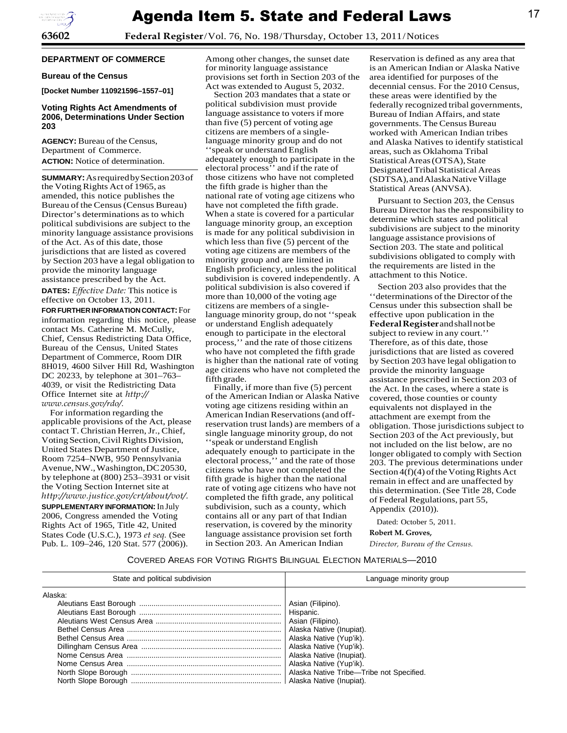

**63602 Federal Register**/Vol. 76, No. 198/Thursday, October 13, 2011/Notices

#### **DEPARTMENT OF COMMERCE**

#### **Bureau of the Census**

**[Docket Number 110921596–1557–01]**

#### **Voting Rights Act Amendments of 2006, Determinations Under Section 203**

**AGENCY:** Bureau of the Census, Department of Commerce. **ACTION:** Notice of determination.

**SUMMARY:** AsrequiredbySection203of the Voting Rights Act of 1965, as amended, this notice publishes the Bureau of the Census (Census Bureau) Director's determinations as to which political subdivisions are subject to the minority language assistance provisions of the Act. As of this date, those jurisdictions that are listed as covered by Section 203 have a legal obligation to provide the minority language assistance prescribed by the Act.

**DATES:** *Effective Date:* This notice is effective on October 13, 2011.

**FOR FURTHERINFORMATIONCONTACT:** For information regarding this notice, please contact Ms. Catherine M. McCully, Chief, Census Redistricting Data Office, Bureau of the Census, United States Department of Commerce, Room DIR 8H019, 4600 Silver Hill Rd, Washington DC 20233, by telephone at 301–763– 4039, or visit the Redistricting Data Office Internet site at *[http://](http://www.census.gov/rdo/) [www.census.gov/rdo/.](http://www.census.gov/rdo/)*

For information regarding the applicable provisions of the Act, please contact T. Christian Herren, Jr., Chief, Voting Section, Civil Rights Division, United States Department of Justice, Room 7254–NWB, 950 Pennsylvania Avenue,NW.,Washington,DC20530, by telephone at (800) 253–3931 or visit the Voting Section Internet site at *[http://www.justice.gov/crt/about/vot/.](http://www.justice.gov/crt/about/vot/)*

**SUPPLEMENTARY INFORMATION:** In July 2006, Congress amended the Voting Rights Act of 1965, Title 42, United States Code (U.S.C.), 1973 *et seq.* (See Pub. L. 109–246, 120 Stat. 577 (2006)).

Among other changes, the sunset date for minority language assistance provisions set forth in Section 203 of the Act was extended to August 5, 2032.

Section 203 mandates that a state or political subdivision must provide language assistance to voters if more than five (5) percent of voting age citizens are members of a singlelanguage minority group and do not ''speak or understand English adequately enough to participate in the electoral process'' and if the rate of those citizens who have not completed the fifth grade is higher than the national rate of voting age citizens who have not completed the fifth grade. When a state is covered for a particular language minority group, an exception is made for any political subdivision in which less than five (5) percent of the voting age citizens are members of the minority group and are limited in English proficiency, unless the political subdivision is covered independently. A political subdivision is also covered if more than 10,000 of the voting age citizens are members of a singlelanguage minority group, do not ''speak or understand English adequately enough to participate in the electoral process,'' and the rate of those citizens who have not completed the fifth grade is higher than the national rate of voting age citizens who have not completed the fifth grade.

Finally, if more than five (5) percent of the American Indian or Alaska Native voting age citizens residing within an American Indian Reservations(and offreservation trust lands) are members of a single language minority group, do not ''speak or understand English adequately enough to participate in the electoral process,'' and the rate of those citizens who have not completed the fifth grade is higher than the national rate of voting age citizens who have not completed the fifth grade, any political subdivision, such as a county, which contains all or any part of that Indian reservation, is covered by the minority language assistance provision set forth in Section 203. An American Indian

Reservation is defined as any area that is an American Indian or Alaska Native area identified for purposes of the decennial census. For the 2010 Census, these areas were identified by the federally recognized tribal governments, Bureau of Indian Affairs, and state governments. The Census Bureau worked with American Indian tribes and Alaska Natives to identify statistical areas, such as Oklahoma Tribal Statistical Areas (OTSA), State Designated Tribal Statistical Areas (SDTSA), and Alaska Native Village Statistical Areas (ANVSA).

Pursuant to Section 203, the Census Bureau Director has the responsibility to determine which states and political subdivisions are subject to the minority language assistance provisions of Section 203. The state and political subdivisions obligated to comply with the requirements are listed in the attachment to this Notice.

Section 203 also provides that the ''determinations of the Director of the Census under this subsection shall be effective upon publication in the **Federal Register**andshallnotbe subject to review in any court.'' Therefore, as of this date, those jurisdictions that are listed as covered by Section 203 have legal obligation to provide the minority language assistance prescribed in Section 203 of the Act. In the cases, where a state is covered, those counties or county equivalents not displayed in the attachment are exempt from the obligation. Those jurisdictions subject to Section 203 of the Act previously, but not included on the list below, are no longer obligated to comply with Section 203. The previous determinations under Section  $4(f)(4)$  of the Voting Rights Act remain in effect and are unaffected by this determination. (See Title 28, Code of Federal Regulations, part 55, Appendix (2010)).

Dated: October 5, 2011. **Robert M. Groves,**

*Director, Bureau of the Census.*

#### COVERED AREAS FOR VOTING RIGHTS BILINGUAL ELECTION MATERIALS—2010

| State and political subdivision | Language minority group                                                                                                                                                                                                     |  |  |  |  |
|---------------------------------|-----------------------------------------------------------------------------------------------------------------------------------------------------------------------------------------------------------------------------|--|--|--|--|
| Alaska:                         | Asian (Filipino).<br>Asian (Filipino).<br>Alaska Native (Inupiat).<br>Alaska Native (Yup'ik).<br>Alaska Native (Yup'ik).<br>Alaska Native (Inupiat).<br>Alaska Native (Yup'ik).<br>Alaska Native Tribe-Tribe not Specified. |  |  |  |  |
|                                 |                                                                                                                                                                                                                             |  |  |  |  |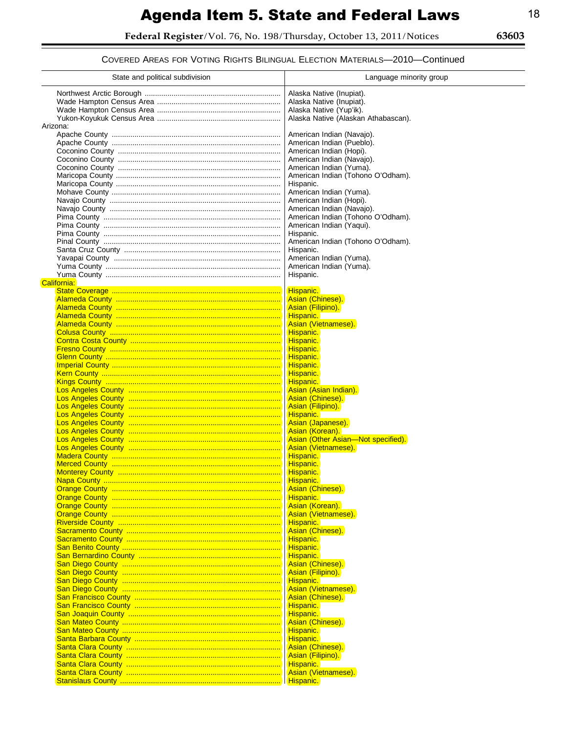Federal Register/Vol. 76, No. 198/Thursday, October 13, 2011/Notices

63603  $\equiv$ 

COVERED AREAS FOR VOTING RIGHTS BILINGUAL ELECTION MATERIALS-2010-Continued

| State and political subdivision | Language minority group                                                                                                |  |  |  |  |
|---------------------------------|------------------------------------------------------------------------------------------------------------------------|--|--|--|--|
|                                 | Alaska Native (Inupiat).<br>Alaska Native (Inupiat).<br>Alaska Native (Yup'ik).<br>Alaska Native (Alaskan Athabascan). |  |  |  |  |
| Arizona:                        |                                                                                                                        |  |  |  |  |
|                                 | American Indian (Navajo).                                                                                              |  |  |  |  |
|                                 | American Indian (Pueblo).                                                                                              |  |  |  |  |
|                                 | American Indian (Hopi).                                                                                                |  |  |  |  |
|                                 | American Indian (Navajo).                                                                                              |  |  |  |  |
|                                 | American Indian (Yuma).                                                                                                |  |  |  |  |
|                                 | American Indian (Tohono O'Odham).                                                                                      |  |  |  |  |
|                                 | Hispanic.<br>American Indian (Yuma).                                                                                   |  |  |  |  |
|                                 | American Indian (Hopi).                                                                                                |  |  |  |  |
|                                 | American Indian (Navajo).                                                                                              |  |  |  |  |
|                                 | American Indian (Tohono O'Odham).                                                                                      |  |  |  |  |
|                                 | American Indian (Yaqui).                                                                                               |  |  |  |  |
|                                 | Hispanic.                                                                                                              |  |  |  |  |
|                                 | American Indian (Tohono O'Odham).                                                                                      |  |  |  |  |
|                                 | Hispanic.                                                                                                              |  |  |  |  |
|                                 | American Indian (Yuma).                                                                                                |  |  |  |  |
|                                 | American Indian (Yuma).                                                                                                |  |  |  |  |
| California:                     | Hispanic.                                                                                                              |  |  |  |  |
|                                 | Hispanic.                                                                                                              |  |  |  |  |
|                                 | Asian (Chinese).                                                                                                       |  |  |  |  |
|                                 | Asian (Filipino).                                                                                                      |  |  |  |  |
|                                 | Hispanic.                                                                                                              |  |  |  |  |
|                                 | Asian (Vietnamese).                                                                                                    |  |  |  |  |
|                                 | Hispanic.                                                                                                              |  |  |  |  |
|                                 | Hispanic.<br>Hispanic.                                                                                                 |  |  |  |  |
|                                 | Hispanic.                                                                                                              |  |  |  |  |
|                                 | Hispanic.                                                                                                              |  |  |  |  |
|                                 | Hispanic.                                                                                                              |  |  |  |  |
|                                 | Hispanic.                                                                                                              |  |  |  |  |
|                                 | Asian (Asian Indian).                                                                                                  |  |  |  |  |
|                                 | Asian (Chinese).                                                                                                       |  |  |  |  |
|                                 | Asian (Filipino).                                                                                                      |  |  |  |  |
|                                 | Hispanic.<br>Asian (Japanese).                                                                                         |  |  |  |  |
|                                 | Asian (Korean).                                                                                                        |  |  |  |  |
|                                 | Asian (Other Asian-Not specified).                                                                                     |  |  |  |  |
|                                 | Asian (Vietnamese).                                                                                                    |  |  |  |  |
|                                 | Hispanic.                                                                                                              |  |  |  |  |
|                                 | Hispanic.                                                                                                              |  |  |  |  |
|                                 | Hispanic.<br>Hispanic.                                                                                                 |  |  |  |  |
|                                 | Asian (Chinese).                                                                                                       |  |  |  |  |
|                                 | Hispanic.                                                                                                              |  |  |  |  |
|                                 | Asian (Korean).                                                                                                        |  |  |  |  |
|                                 | Asian (Vietnamese).                                                                                                    |  |  |  |  |
|                                 | Hispanic.                                                                                                              |  |  |  |  |
|                                 | Asian (Chinese).<br>Hispanic.                                                                                          |  |  |  |  |
|                                 | Hispanic.                                                                                                              |  |  |  |  |
|                                 | Hispanic.                                                                                                              |  |  |  |  |
|                                 | Asian (Chinese).                                                                                                       |  |  |  |  |
|                                 | Asian (Filipino).                                                                                                      |  |  |  |  |
|                                 | Hispanic.                                                                                                              |  |  |  |  |
|                                 | Asian (Vietnamese).                                                                                                    |  |  |  |  |
|                                 | Asian (Chinese).<br>Hispanic.                                                                                          |  |  |  |  |
|                                 | Hispanic.                                                                                                              |  |  |  |  |
|                                 | Asian (Chinese).                                                                                                       |  |  |  |  |
|                                 | Hispanic.                                                                                                              |  |  |  |  |
|                                 | Hispanic.                                                                                                              |  |  |  |  |
|                                 | Asian (Chinese).                                                                                                       |  |  |  |  |
|                                 | Asian (Filipino).                                                                                                      |  |  |  |  |
|                                 | Hispanic.<br>Asian (Vietnamese).                                                                                       |  |  |  |  |
|                                 | Hispanic.                                                                                                              |  |  |  |  |
|                                 |                                                                                                                        |  |  |  |  |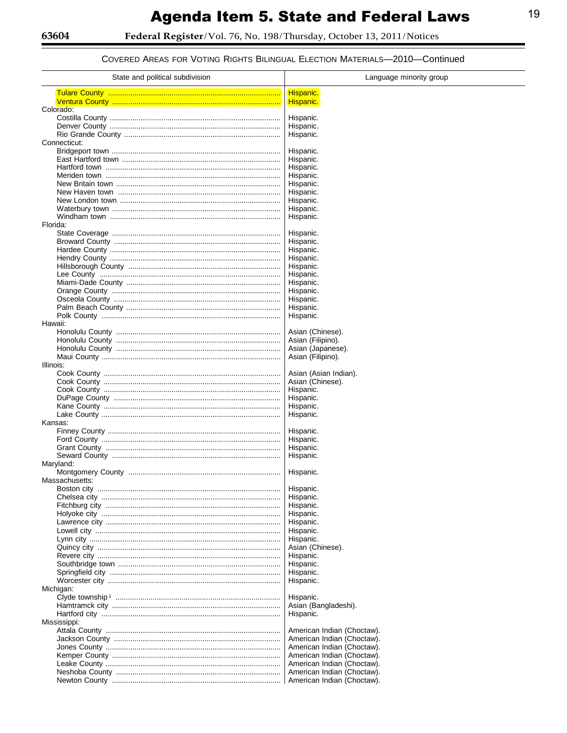COVERED AREAS FOR VOTING RIGHTS BILINGUAL ELECTION MATERIALS-2010-Continued

| State and political subdivision | Language minority group                                  |  |  |  |  |
|---------------------------------|----------------------------------------------------------|--|--|--|--|
|                                 | Hispanic.                                                |  |  |  |  |
|                                 | Hispanic.                                                |  |  |  |  |
| Colorado:                       |                                                          |  |  |  |  |
|                                 | Hispanic.<br>Hispanic.                                   |  |  |  |  |
|                                 | Hispanic.                                                |  |  |  |  |
| Connecticut:                    |                                                          |  |  |  |  |
|                                 | Hispanic.                                                |  |  |  |  |
|                                 | Hispanic.                                                |  |  |  |  |
|                                 | Hispanic.                                                |  |  |  |  |
|                                 | Hispanic.<br>Hispanic.                                   |  |  |  |  |
|                                 | Hispanic.                                                |  |  |  |  |
|                                 | Hispanic.                                                |  |  |  |  |
|                                 | Hispanic.                                                |  |  |  |  |
| Florida:                        | Hispanic.                                                |  |  |  |  |
|                                 | Hispanic.                                                |  |  |  |  |
|                                 | Hispanic.                                                |  |  |  |  |
|                                 | Hispanic.                                                |  |  |  |  |
|                                 | Hispanic.                                                |  |  |  |  |
|                                 | Hispanic.<br>Hispanic.                                   |  |  |  |  |
|                                 | Hispanic.                                                |  |  |  |  |
|                                 | Hispanic.                                                |  |  |  |  |
|                                 | Hispanic.                                                |  |  |  |  |
|                                 | Hispanic.                                                |  |  |  |  |
| Hawaii:                         | Hispanic.                                                |  |  |  |  |
|                                 | Asian (Chinese).                                         |  |  |  |  |
|                                 | Asian (Filipino).                                        |  |  |  |  |
|                                 | Asian (Japanese).                                        |  |  |  |  |
|                                 | Asian (Filipino).                                        |  |  |  |  |
| Illinois:                       |                                                          |  |  |  |  |
|                                 | Asian (Asian Indian).<br>Asian (Chinese).                |  |  |  |  |
|                                 | Hispanic.                                                |  |  |  |  |
|                                 | Hispanic.                                                |  |  |  |  |
|                                 | Hispanic.                                                |  |  |  |  |
|                                 | Hispanic.                                                |  |  |  |  |
| Kansas:                         | Hispanic.                                                |  |  |  |  |
|                                 | Hispanic.                                                |  |  |  |  |
|                                 | Hispanic.                                                |  |  |  |  |
|                                 | Hispanic.                                                |  |  |  |  |
| Maryland:                       |                                                          |  |  |  |  |
| Massachusetts:                  | Hispanic.                                                |  |  |  |  |
|                                 | Hispanic.                                                |  |  |  |  |
|                                 | Hispanic.                                                |  |  |  |  |
|                                 | Hispanic.                                                |  |  |  |  |
|                                 | Hispanic.                                                |  |  |  |  |
|                                 | Hispanic.<br>Hispanic.                                   |  |  |  |  |
|                                 | Hispanic.                                                |  |  |  |  |
|                                 | Asian (Chinese).                                         |  |  |  |  |
|                                 | Hispanic.                                                |  |  |  |  |
|                                 | Hispanic.                                                |  |  |  |  |
|                                 | Hispanic.                                                |  |  |  |  |
| Michigan:                       | Hispanic.                                                |  |  |  |  |
|                                 | Hispanic.                                                |  |  |  |  |
|                                 | Asian (Bangladeshi).                                     |  |  |  |  |
|                                 | Hispanic.                                                |  |  |  |  |
| Mississippi:                    |                                                          |  |  |  |  |
|                                 | American Indian (Choctaw).<br>American Indian (Choctaw). |  |  |  |  |
|                                 | American Indian (Choctaw).                               |  |  |  |  |
|                                 | American Indian (Choctaw).                               |  |  |  |  |
|                                 | American Indian (Choctaw).                               |  |  |  |  |
|                                 | American Indian (Choctaw).                               |  |  |  |  |
|                                 | American Indian (Choctaw).                               |  |  |  |  |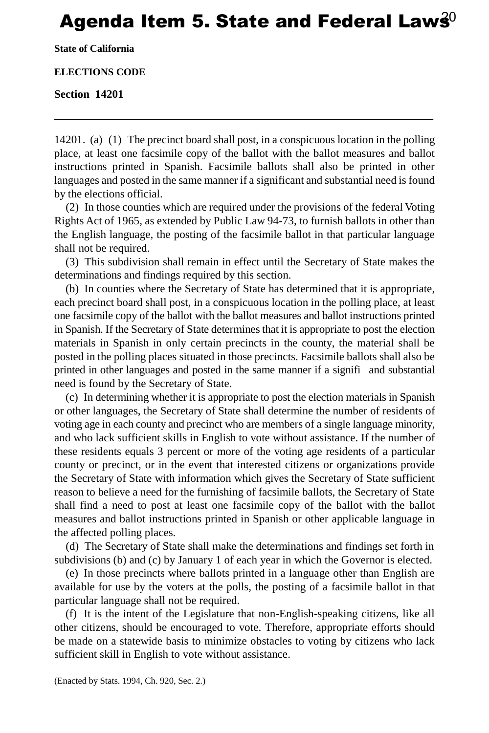# Agenda Item 5. State and Federal Law $\hat{\mathbf{s}}^0$

**State of California**

#### **ELECTIONS CODE**

#### **Section 14201**

14201. (a) (1) The precinct board shall post, in a conspicuous location in the polling place, at least one facsimile copy of the ballot with the ballot measures and ballot instructions printed in Spanish. Facsimile ballots shall also be printed in other languages and posted in the same manner if a significant and substantial need is found by the elections official.

(2) In those counties which are required under the provisions of the federal Voting Rights Act of 1965, as extended by Public Law 94-73, to furnish ballots in other than the English language, the posting of the facsimile ballot in that particular language shall not be required.

(3) This subdivision shall remain in effect until the Secretary of State makes the determinations and findings required by this section.

(b) In counties where the Secretary of State has determined that it is appropriate, each precinct board shall post, in a conspicuous location in the polling place, at least one facsimile copy of the ballot with the ballot measures and ballot instructions printed in Spanish. If the Secretary of State determines that it is appropriate to post the election materials in Spanish in only certain precincts in the county, the material shall be posted in the polling places situated in those precincts. Facsimile ballots shall also be printed in other languages and posted in the same manner if a signifi and substantial need is found by the Secretary of State.

(c) In determining whether it is appropriate to post the election materials in Spanish or other languages, the Secretary of State shall determine the number of residents of voting age in each county and precinct who are members of a single language minority, and who lack sufficient skills in English to vote without assistance. If the number of these residents equals 3 percent or more of the voting age residents of a particular county or precinct, or in the event that interested citizens or organizations provide the Secretary of State with information which gives the Secretary of State sufficient reason to believe a need for the furnishing of facsimile ballots, the Secretary of State shall find a need to post at least one facsimile copy of the ballot with the ballot measures and ballot instructions printed in Spanish or other applicable language in the affected polling places.

(d) The Secretary of State shall make the determinations and findings set forth in subdivisions (b) and (c) by January 1 of each year in which the Governor is elected.

(e) In those precincts where ballots printed in a language other than English are available for use by the voters at the polls, the posting of a facsimile ballot in that particular language shall not be required.

(f) It is the intent of the Legislature that non-English-speaking citizens, like all other citizens, should be encouraged to vote. Therefore, appropriate efforts should be made on a statewide basis to minimize obstacles to voting by citizens who lack sufficient skill in English to vote without assistance.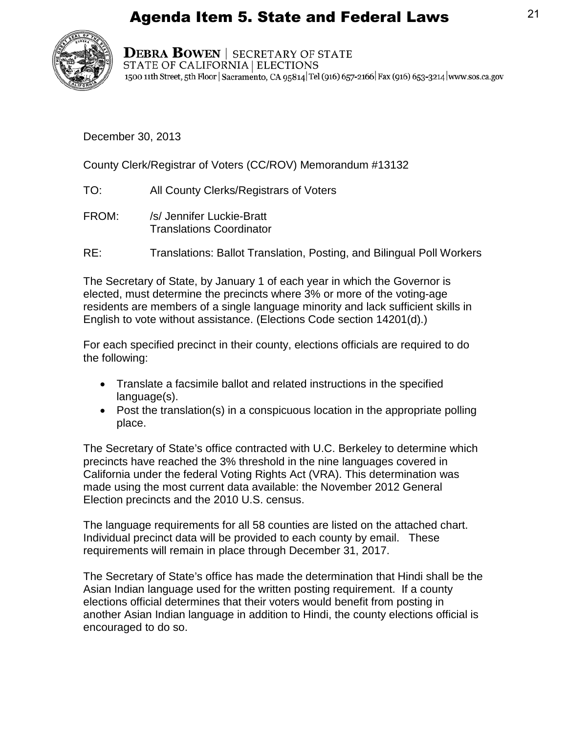

**DEBRA BOWEN | SECRETARY OF STATE** STATE OF CALIFORNIA | ELECTIONS 1500 11th Street, 5th Floor | Sacramento, CA 95814 Tel (916) 657-2166 | Fax (916) 653-3214 | www.sos.ca.gov

December 30, 2013

County Clerk/Registrar of Voters (CC/ROV) Memorandum #13132

- TO: All County Clerks/Registrars of Voters
- FROM: /s/ Jennifer Luckie-Bratt Translations Coordinator
- RE: Translations: Ballot Translation, Posting, and Bilingual Poll Workers

The Secretary of State, by January 1 of each year in which the Governor is elected, must determine the precincts where 3% or more of the voting-age residents are members of a single language minority and lack sufficient skills in English to vote without assistance. (Elections Code section 14201(d).)

For each specified precinct in their county, elections officials are required to do the following:

- Translate a facsimile ballot and related instructions in the specified language(s).
- Post the translation(s) in a conspicuous location in the appropriate polling place.

The Secretary of State's office contracted with U.C. Berkeley to determine which precincts have reached the 3% threshold in the nine languages covered in California under the federal Voting Rights Act (VRA). This determination was made using the most current data available: the November 2012 General Election precincts and the 2010 U.S. census.

The language requirements for all 58 counties are listed on the attached chart. Individual precinct data will be provided to each county by email. These requirements will remain in place through December 31, 2017.

The Secretary of State's office has made the determination that Hindi shall be th e Asian Indian language used for the written posting requirement. If a county elections official determines that their voters would benefit from posting in another Asian Indian language in addition to Hindi, the county elections official is encouraged to do so.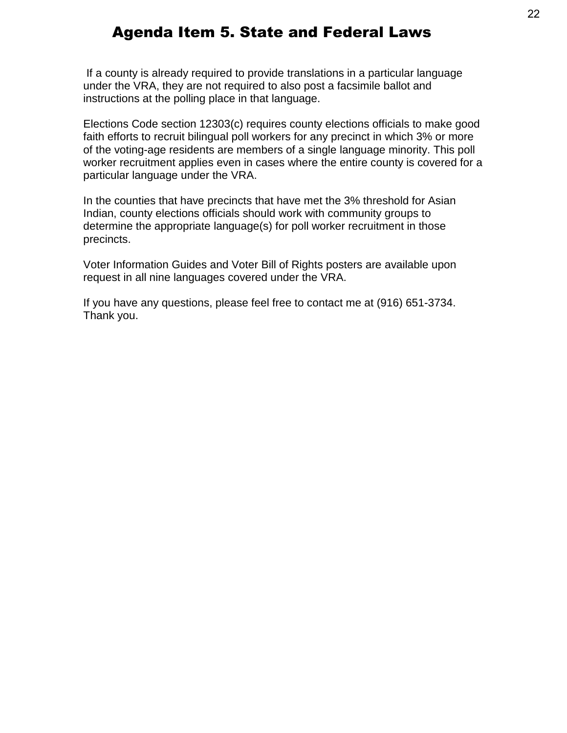If a county is already required to provide translations in a particular language under the VRA, they are not required to also post a facsimile ballot and instructions at the polling place in that language.

Elections Code section 12303(c) requires county elections officials to make good faith efforts to recruit bilingual poll workers for any precinct in which 3% or more of the voting-age residents are members of a single language minority. This poll worker recruitment applies even in cases where the entire county is covered for a particular language under the VRA.

In the counties that have precincts that have met the 3% threshold for Asian Indian, county elections officials should work with community groups to determine the appropriate language(s) for poll worker recruitment in those precincts.

Voter Information Guides and Voter Bill of Rights posters are available upon request in all nine languages covered under the VRA.

If you have any questions, please feel free to contact me at (916) 651-3734. Thank you.